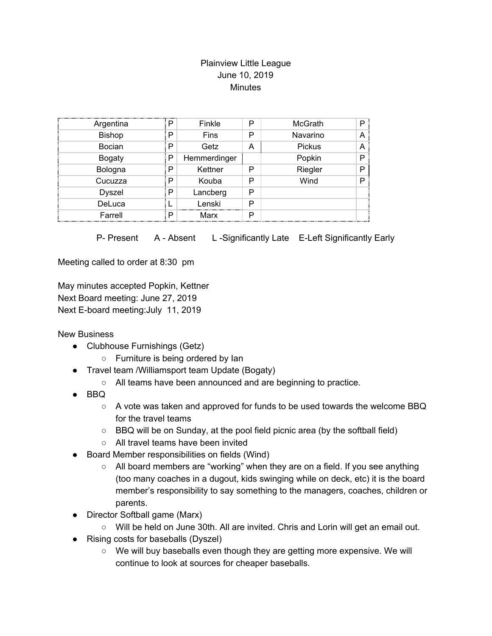## Plainview Little League June 10, 2019 **Minutes**

| Argentina     | P | Finkle       | P | McGrath  | D |
|---------------|---|--------------|---|----------|---|
| <b>Bishop</b> | P | Fins         | P | Navarino |   |
| Bocian        | P | Getz         | А | Pickus   |   |
| <b>Bogaty</b> | Р | Hemmerdinger |   | Popkin   | D |
| Bologna       | P | Kettner      | P | Riegler  | D |
| Cucuzza       | P | Kouba        | Р | Wind     | D |
| <b>Dyszel</b> | P | Lancberg     | P |          |   |
| DeLuca        |   | Lenski       | P |          |   |
| Farrell       | P | Marx         | P |          |   |

P- Present A - Absent L-Significantly Late E-Left Significantly Early

Meeting called to order at 8:30 pm

May minutes accepted Popkin, Kettner Next Board meeting: June 27, 2019 Next E-board meeting:July 11, 2019

New Business

- Clubhouse Furnishings (Getz)
	- Furniture is being ordered by Ian
- Travel team /Williamsport team Update (Bogaty)
	- All teams have been announced and are beginning to practice.
- BBQ
	- $\circ$  A vote was taken and approved for funds to be used towards the welcome BBQ for the travel teams
	- BBQ will be on Sunday, at the pool field picnic area (by the softball field)
	- All travel teams have been invited
- Board Member responsibilities on fields (Wind)
	- All board members are "working" when they are on a field. If you see anything (too many coaches in a dugout, kids swinging while on deck, etc) it is the board member's responsibility to say something to the managers, coaches, children or parents.
- Director Softball game (Marx)
	- Will be held on June 30th. All are invited. Chris and Lorin will get an email out.
- Rising costs for baseballs (Dyszel)
	- We will buy baseballs even though they are getting more expensive. We will continue to look at sources for cheaper baseballs.